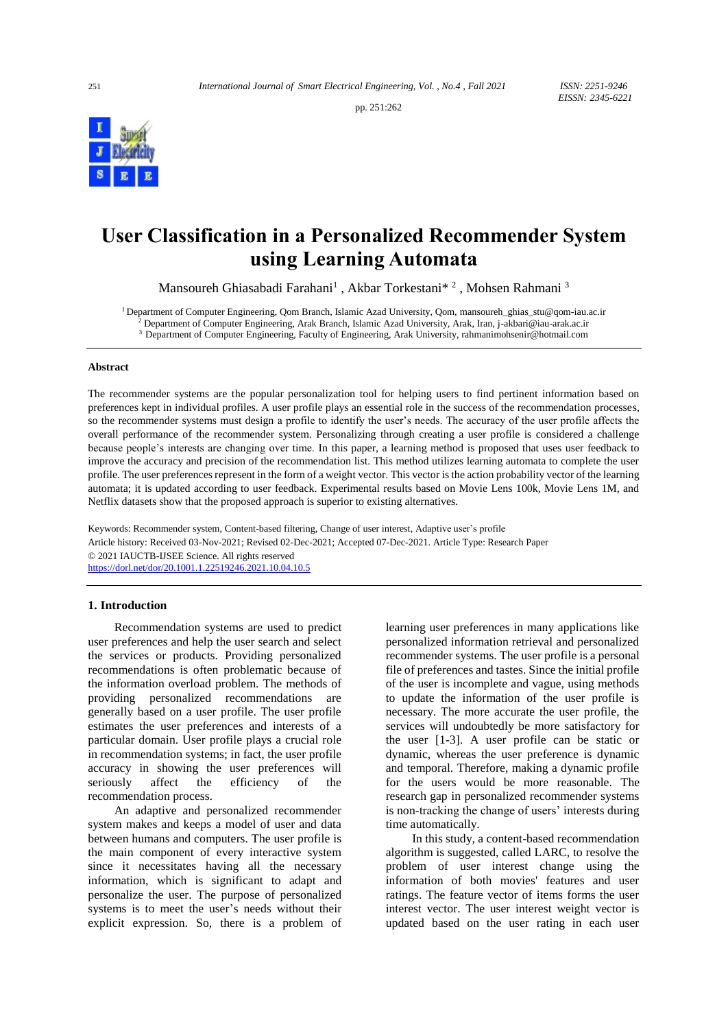pp. 251:262



# **User Classification in a Personalized Recommender System using Learning Automata**

Mansoureh Ghiasabadi Farahani<sup>1</sup>, Akbar Torkestani\*<sup>2</sup>, Mohsen Rahmani<sup>3</sup>

<sup>1</sup> Department of Computer Engineering, Qom Branch, Islamic Azad University, Qom[, mansoureh\\_ghias\\_stu@qom-iau.ac.ir](mailto:mansoureh_ghias_stu@qom-iau.ac.ir)

<sup>2</sup> Department of Computer Engineering, Arak Branch, Islamic Azad University, Arak, Iran, j-akbari@iau-arak.ac.ir

<sup>3</sup> Department of Computer Engineering, Faculty of Engineering, Arak University, rahmanimohsenir@hotmail.com

# **Abstract**

The recommender systems are the popular personalization tool for helping users to find pertinent information based on preferences kept in individual profiles. A user profile plays an essential role in the success of the recommendation processes, so the recommender systems must design a profile to identify the user's needs. The accuracy of the user profile affects the overall performance of the recommender system. Personalizing through creating a user profile is considered a challenge because people's interests are changing over time. In this paper, a learning method is proposed that uses user feedback to improve the accuracy and precision of the recommendation list. This method utilizes learning automata to complete the user profile. The user preferences represent in the form of a weight vector. This vector is the action probability vector of the learning automata; it is updated according to user feedback. Experimental results based on Movie Lens 100k, Movie Lens 1M, and Netflix datasets show that the proposed approach is superior to existing alternatives.

Keywords: Recommender system, Content-based filtering, Change of user interest, Adaptive user's profile Article history: Received 03-Nov-2021; Revised 02-Dec-2021; Accepted 07-Dec-2021. Article Type: Research Paper © 2021 IAUCTB-IJSEE Science. All rights reserved <https://dorl.net/dor/20.1001.1.22519246.2021.10.04.10.5>

# **1. Introduction**

Recommendation systems are used to predict user preferences and help the user search and select the services or products. Providing personalized recommendations is often problematic because of the information overload problem. The methods of providing personalized recommendations are generally based on a user profile. The user profile estimates the user preferences and interests of a particular domain. User profile plays a crucial role in recommendation systems; in fact, the user profile accuracy in showing the user preferences will seriously affect the efficiency of the recommendation process.

An adaptive and personalized recommender system makes and keeps a model of user and data between humans and computers. The user profile is the main component of every interactive system since it necessitates having all the necessary information, which is significant to adapt and personalize the user. The purpose of personalized systems is to meet the user's needs without their explicit expression. So, there is a problem of learning user preferences in many applications like personalized information retrieval and personalized recommender systems. The user profile is a personal file of preferences and tastes. Since the initial profile of the user is incomplete and vague, using methods to update the information of the user profile is necessary. The more accurate the user profile, the services will undoubtedly be more satisfactory for the user [1-3]. A user profile can be static or dynamic, whereas the user preference is dynamic and temporal. Therefore, making a dynamic profile for the users would be more reasonable. The research gap in personalized recommender systems is non-tracking the change of users' interests during time automatically.

In this study, a content-based recommendation algorithm is suggested, called LARC, to resolve the problem of user interest change using the information of both movies' features and user ratings. The feature vector of items forms the user interest vector. The user interest weight vector is updated based on the user rating in each user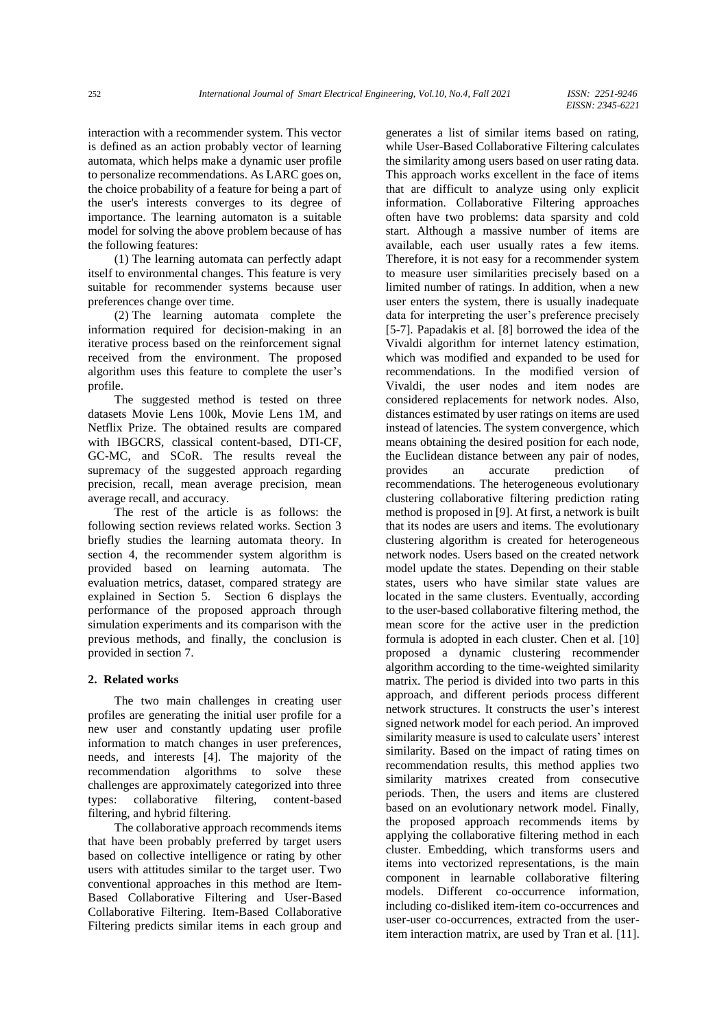interaction with a recommender system. This vector is defined as an action probably vector of learning automata, which helps make a dynamic user profile to personalize recommendations. As LARC goes on, the choice probability of a feature for being a part of the user's interests converges to its degree of importance. The learning automaton is a suitable model for solving the above problem because of has the following features:

(1) The learning automata can perfectly adapt itself to environmental changes. This feature is very suitable for recommender systems because user preferences change over time.

(2) The learning automata complete the information required for decision-making in an iterative process based on the reinforcement signal received from the environment. The proposed algorithm uses this feature to complete the user's profile.

The suggested method is tested on three datasets Movie Lens 100k, Movie Lens 1M, and Netflix Prize. The obtained results are compared with IBGCRS, classical content-based, DTI-CF, GC-MC, and SCoR. The results reveal the supremacy of the suggested approach regarding precision, recall, mean average precision, mean average recall, and accuracy.

The rest of the article is as follows: the following section reviews related works. Section 3 briefly studies the learning automata theory. In section 4, the recommender system algorithm is provided based on learning automata. The evaluation metrics, dataset, compared strategy are explained in Section 5. Section 6 displays the performance of the proposed approach through simulation experiments and its comparison with the previous methods, and finally, the conclusion is provided in section 7.

# **2. Related works**

The two main challenges in creating user profiles are generating the initial user profile for a new user and constantly updating user profile information to match changes in user preferences, needs, and interests [4]. The majority of the recommendation algorithms to solve these challenges are approximately categorized into three types: collaborative filtering, content-based filtering, and hybrid filtering.

The collaborative approach recommends items that have been probably preferred by target users based on collective intelligence or rating by other users with attitudes similar to the target user. Two conventional approaches in this method are Item-Based Collaborative Filtering and User-Based Collaborative Filtering. Item-Based Collaborative Filtering predicts similar items in each group and

generates a list of similar items based on rating, while User-Based Collaborative Filtering calculates the similarity among users based on user rating data. This approach works excellent in the face of items that are difficult to analyze using only explicit information. Collaborative Filtering approaches often have two problems: data sparsity and cold start. Although a massive number of items are available, each user usually rates a few items. Therefore, it is not easy for a recommender system to measure user similarities precisely based on a limited number of ratings. In addition, when a new user enters the system, there is usually inadequate data for interpreting the user's preference precisely [5-7]. Papadakis et al. [8] borrowed the idea of the Vivaldi algorithm for internet latency estimation, which was modified and expanded to be used for recommendations. In the modified version of Vivaldi, the user nodes and item nodes are considered replacements for network nodes. Also, distances estimated by user ratings on items are used instead of latencies. The system convergence, which means obtaining the desired position for each node, the Euclidean distance between any pair of nodes, provides an accurate prediction of recommendations. The heterogeneous evolutionary clustering collaborative filtering prediction rating method is proposed in [9]. At first, a network is built that its nodes are users and items. The evolutionary clustering algorithm is created for heterogeneous network nodes. Users based on the created network model update the states. Depending on their stable states, users who have similar state values are located in the same clusters. Eventually, according to the user-based collaborative filtering method, the mean score for the active user in the prediction formula is adopted in each cluster. Chen et al. [10] proposed a dynamic clustering recommender algorithm according to the time-weighted similarity matrix. The period is divided into two parts in this approach, and different periods process different network structures. It constructs the user's interest signed network model for each period. An improved similarity measure is used to calculate users' interest similarity. Based on the impact of rating times on recommendation results, this method applies two similarity matrixes created from consecutive periods. Then, the users and items are clustered based on an evolutionary network model. Finally, the proposed approach recommends items by applying the collaborative filtering method in each cluster. Embedding, which transforms users and items into vectorized representations, is the main component in learnable collaborative filtering models. Different co-occurrence information, including co-disliked item-item co-occurrences and user-user co-occurrences, extracted from the useritem interaction matrix, are used by Tran et al. [11].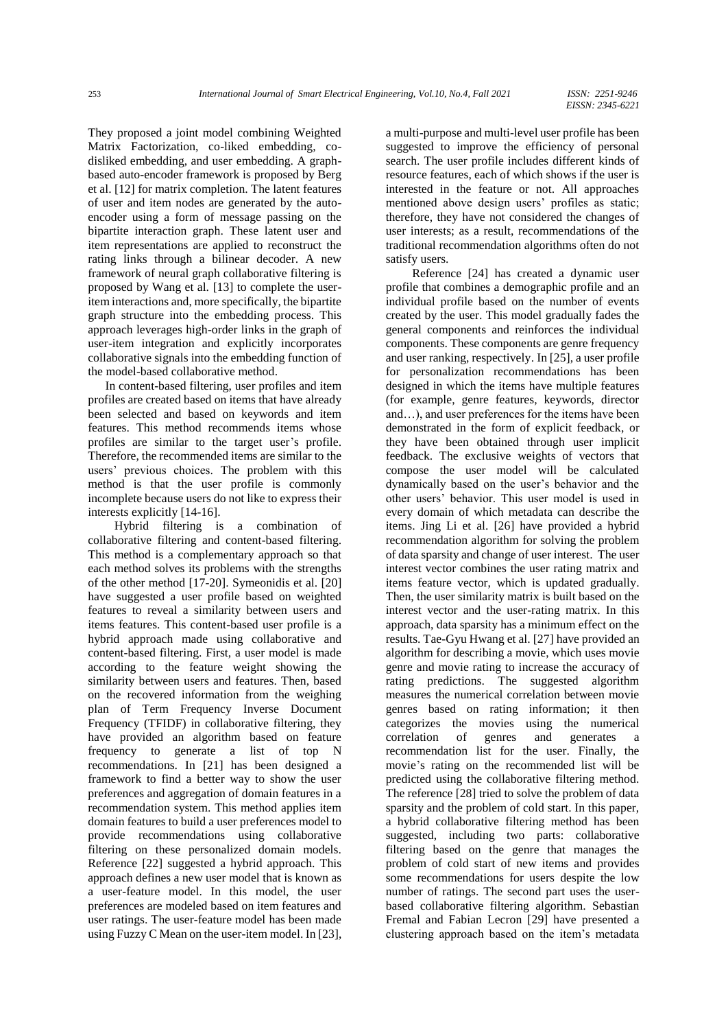They proposed a joint model combining Weighted Matrix Factorization, co-liked embedding, codisliked embedding, and user embedding. A graphbased auto-encoder framework is proposed by Berg et al. [12] for matrix completion. The latent features of user and item nodes are generated by the autoencoder using a form of message passing on the bipartite interaction graph. These latent user and item representations are applied to reconstruct the rating links through a bilinear decoder. A new framework of neural graph collaborative filtering is proposed by Wang et al. [13] to complete the useritem interactions and, more specifically, the bipartite graph structure into the embedding process. This approach leverages high-order links in the graph of user-item integration and explicitly incorporates collaborative signals into the embedding function of the model-based collaborative method.

In content-based filtering, user profiles and item profiles are created based on items that have already been selected and based on keywords and item features. This method recommends items whose profiles are similar to the target user's profile. Therefore, the recommended items are similar to the users' previous choices. The problem with this method is that the user profile is commonly incomplete because users do not like to express their interests explicitly [14-16].

Hybrid filtering is a combination of collaborative filtering and content-based filtering. This method is a complementary approach so that each method solves its problems with the strengths of the other method [17-20]. Symeonidis et al. [20] have suggested a user profile based on weighted features to reveal a similarity between users and items features. This content-based user profile is a hybrid approach made using collaborative and content-based filtering. First, a user model is made according to the feature weight showing the similarity between users and features. Then, based on the recovered information from the weighing plan of Term Frequency Inverse Document Frequency (TFIDF) in collaborative filtering, they have provided an algorithm based on feature frequency to generate a list of top N recommendations. In [21] has been designed a framework to find a better way to show the user preferences and aggregation of domain features in a recommendation system. This method applies item domain features to build a user preferences model to provide recommendations using collaborative filtering on these personalized domain models. Reference [22] suggested a hybrid approach. This approach defines a new user model that is known as a user-feature model. In this model, the user preferences are modeled based on item features and user ratings. The user-feature model has been made using Fuzzy C Mean on the user-item model. In [23],

a multi-purpose and multi-level user profile has been suggested to improve the efficiency of personal search. The user profile includes different kinds of resource features, each of which shows if the user is interested in the feature or not. All approaches mentioned above design users' profiles as static; therefore, they have not considered the changes of user interests; as a result, recommendations of the traditional recommendation algorithms often do not satisfy users.

Reference [24] has created a dynamic user profile that combines a demographic profile and an individual profile based on the number of events created by the user. This model gradually fades the general components and reinforces the individual components. These components are genre frequency and user ranking, respectively. In [25], a user profile for personalization recommendations has been designed in which the items have multiple features (for example, genre features, keywords, director and…), and user preferences for the items have been demonstrated in the form of explicit feedback, or they have been obtained through user implicit feedback. The exclusive weights of vectors that compose the user model will be calculated dynamically based on the user's behavior and the other users' behavior. This user model is used in every domain of which metadata can describe the items. Jing Li et al. [26] have provided a hybrid recommendation algorithm for solving the problem of data sparsity and change of user interest. The user interest vector combines the user rating matrix and items feature vector, which is updated gradually. Then, the user similarity matrix is built based on the interest vector and the user-rating matrix. In this approach, data sparsity has a minimum effect on the results. Tae-Gyu Hwang et al. [27] have provided an algorithm for describing a movie, which uses movie genre and movie rating to increase the accuracy of rating predictions. The suggested algorithm measures the numerical correlation between movie genres based on rating information; it then categorizes the movies using the numerical correlation of genres and generates a recommendation list for the user. Finally, the movie's rating on the recommended list will be predicted using the collaborative filtering method. The reference [28] tried to solve the problem of data sparsity and the problem of cold start. In this paper, a hybrid collaborative filtering method has been suggested, including two parts: collaborative filtering based on the genre that manages the problem of cold start of new items and provides some recommendations for users despite the low number of ratings. The second part uses the userbased collaborative filtering algorithm. Sebastian Fremal and Fabian Lecron [29] have presented a clustering approach based on the item's metadata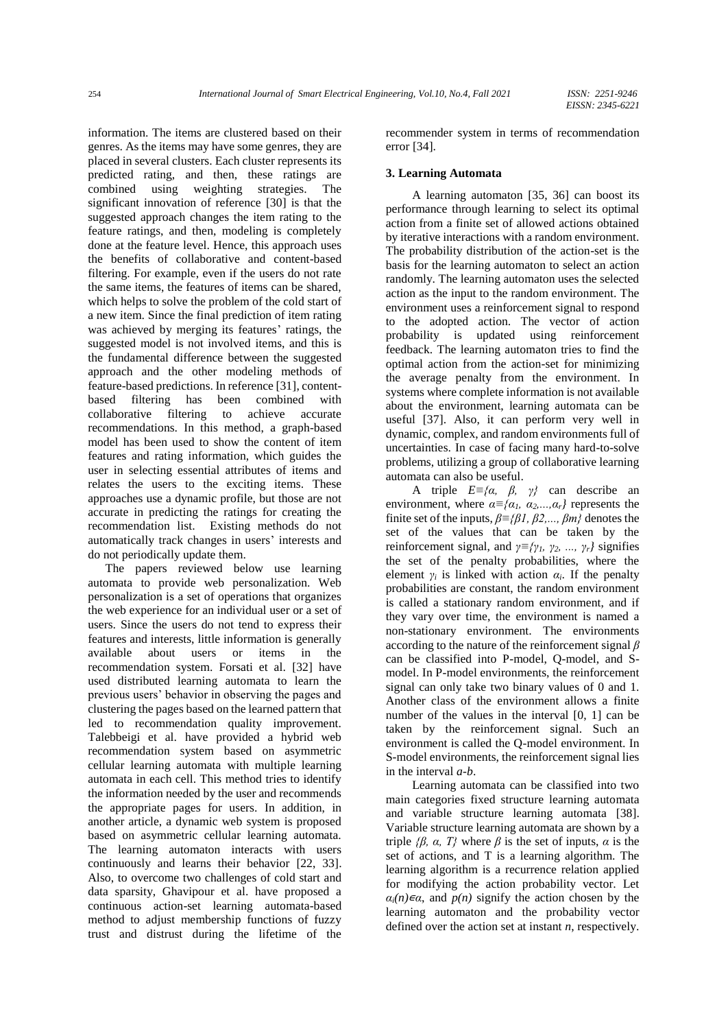information. The items are clustered based on their genres. As the items may have some genres, they are placed in several clusters. Each cluster represents its predicted rating, and then, these ratings are combined using weighting strategies. The significant innovation of reference [30] is that the suggested approach changes the item rating to the feature ratings, and then, modeling is completely done at the feature level. Hence, this approach uses the benefits of collaborative and content-based filtering. For example, even if the users do not rate the same items, the features of items can be shared, which helps to solve the problem of the cold start of a new item. Since the final prediction of item rating was achieved by merging its features' ratings, the suggested model is not involved items, and this is the fundamental difference between the suggested approach and the other modeling methods of feature-based predictions. In reference [31], contentbased filtering has been combined with collaborative filtering to achieve accurate recommendations. In this method, a graph-based model has been used to show the content of item features and rating information, which guides the user in selecting essential attributes of items and relates the users to the exciting items. These approaches use a dynamic profile, but those are not accurate in predicting the ratings for creating the recommendation list. Existing methods do not automatically track changes in users' interests and do not periodically update them.

The papers reviewed below use learning automata to provide web personalization. Web personalization is a set of operations that organizes the web experience for an individual user or a set of users. Since the users do not tend to express their features and interests, little information is generally available about users or items in the recommendation system. Forsati et al. [32] have used distributed learning automata to learn the previous users' behavior in observing the pages and clustering the pages based on the learned pattern that led to recommendation quality improvement. Talebbeigi et al. have provided a hybrid web recommendation system based on asymmetric cellular learning automata with multiple learning automata in each cell. This method tries to identify the information needed by the user and recommends the appropriate pages for users. In addition, in another article, a dynamic web system is proposed based on asymmetric cellular learning automata. The learning automaton interacts with users continuously and learns their behavior [22, 33]. Also, to overcome two challenges of cold start and data sparsity, Ghavipour et al. have proposed a continuous action-set learning automata-based method to adjust membership functions of fuzzy trust and distrust during the lifetime of the

recommender system in terms of recommendation error [34].

## **3. Learning Automata**

A learning automaton [35, 36] can boost its performance through learning to select its optimal action from a finite set of allowed actions obtained by iterative interactions with a random environment. The probability distribution of the action-set is the basis for the learning automaton to select an action randomly. The learning automaton uses the selected action as the input to the random environment. The environment uses a reinforcement signal to respond to the adopted action. The vector of action probability is updated using reinforcement feedback. The learning automaton tries to find the optimal action from the action-set for minimizing the average penalty from the environment. In systems where complete information is not available about the environment, learning automata can be useful [37]. Also, it can perform very well in dynamic, complex, and random environments full of uncertainties. In case of facing many hard-to-solve problems, utilizing a group of collaborative learning automata can also be useful.

A triple *E≡{α, β, γ}* can describe an environment, where  $\alpha \equiv \{\alpha_1, \alpha_2, \dots, \alpha_r\}$  represents the finite set of the inputs, *β≡{β1, β2,..., βm}* denotes the set of the values that can be taken by the reinforcement signal, and  $\gamma \equiv \{ \gamma_1, \gamma_2, ..., \gamma_r \}$  signifies the set of the penalty probabilities, where the element  $\gamma_i$  is linked with action  $\alpha_i$ . If the penalty probabilities are constant, the random environment is called a stationary random environment, and if they vary over time, the environment is named a non-stationary environment. The environments according to the nature of the reinforcement signal *β* can be classified into P-model, Q-model, and Smodel. In P-model environments, the reinforcement signal can only take two binary values of 0 and 1. Another class of the environment allows a finite number of the values in the interval [0, 1] can be taken by the reinforcement signal. Such an environment is called the Q-model environment. In S-model environments, the reinforcement signal lies in the interval *a-b*.

Learning automata can be classified into two main categories fixed structure learning automata and variable structure learning automata [38]. Variable structure learning automata are shown by a triple *{* $\beta$ *,*  $\alpha$ *, T}* where  $\beta$  is the set of inputs,  $\alpha$  is the set of actions, and T is a learning algorithm. The learning algorithm is a recurrence relation applied for modifying the action probability vector. Let  $\alpha_i(n) \in \alpha$ , and  $p(n)$  signify the action chosen by the learning automaton and the probability vector defined over the action set at instant *n*, respectively.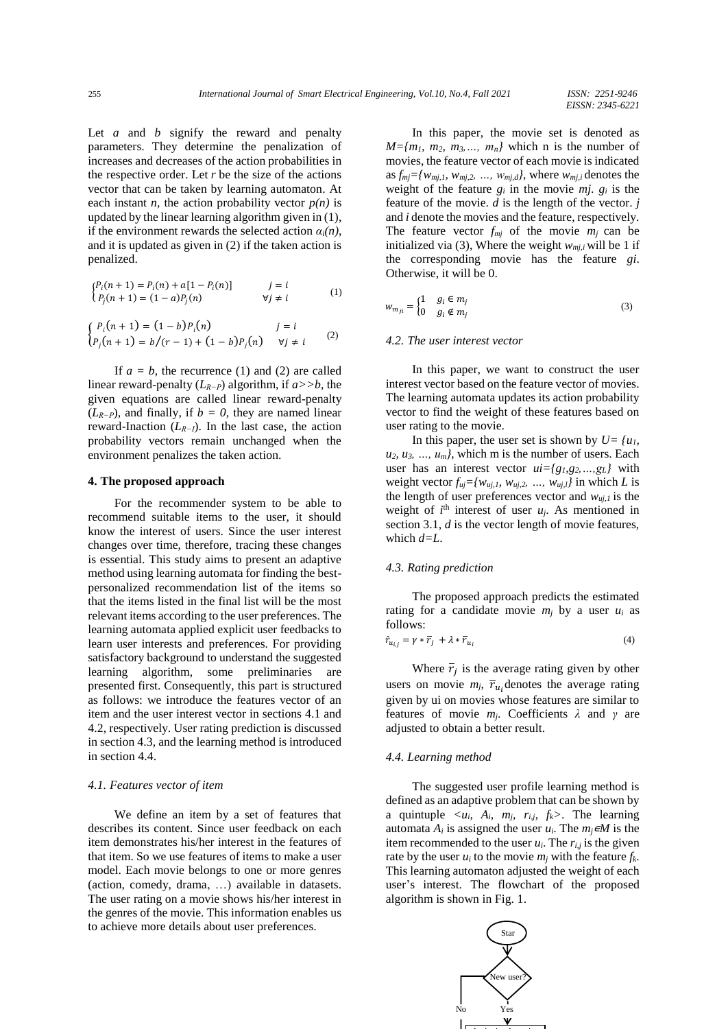Let *a* and *b* signify the reward and penalty parameters. They determine the penalization of increases and decreases of the action probabilities in the respective order. Let *r* be the size of the actions vector that can be taken by learning automaton. At each instant *n*, the action probability vector  $p(n)$  is updated by the linear learning algorithm given in (1), if the environment rewards the selected action  $\alpha_i(n)$ , and it is updated as given in (2) if the taken action is penalized.

$$
\begin{cases}\nP_i(n+1) = P_i(n) + a[1 - P_i(n)] & j = i \\
P_j(n+1) = (1 - a)P_j(n) & \forall j \neq i\n\end{cases}
$$
\n(1)

$$
\begin{cases} P_i(n+1) = (1-b)P_i(n) & j = i \\ P_j(n+1) = b/(r-1) + (1-b)P_j(n) & \forall j \neq i \end{cases}
$$
 (2)

If  $a = b$ , the recurrence (1) and (2) are called linear reward-penalty (*LR−P*) algorithm, if *a>>b*, the given equations are called linear reward-penalty (*LR−P*), and finally, if *b = 0*, they are named linear reward-Inaction (*LR−I*). In the last case, the action probability vectors remain unchanged when the environment penalizes the taken action.

## **4. The proposed approach**

For the recommender system to be able to recommend suitable items to the user, it should know the interest of users. Since the user interest changes over time, therefore, tracing these changes is essential. This study aims to present an adaptive method using learning automata for finding the bestpersonalized recommendation list of the items so that the items listed in the final list will be the most relevant items according to the user preferences. The learning automata applied explicit user feedbacks to learn user interests and preferences. For providing satisfactory background to understand the suggested learning algorithm, some preliminaries are presented first. Consequently, this part is structured as follows: we introduce the features vector of an item and the user interest vector in sections 4.1 and 4.2, respectively. User rating prediction is discussed in section 4.3, and the learning method is introduced in section 4.4.

## *4.1. Features vector of item*

We define an item by a set of features that describes its content. Since user feedback on each item demonstrates his/her interest in the features of that item. So we use features of items to make a user model. Each movie belongs to one or more genres (action, comedy, drama, …) available in datasets. The user rating on a movie shows his/her interest in the genres of the movie. This information enables us to achieve more details about user preferences.

In this paper, the movie set is denoted as  $M = \{m_1, m_2, m_3, \ldots, m_n\}$  which n is the number of movies, the feature vector of each movie is indicated as  $f_m = \{w_{mi,1}, w_{mi,2}, \ldots, w_{mi,d}\}$ , where  $w_{mi,i}$  denotes the weight of the feature  $g_i$  in the movie  $m_i$ ,  $g_i$  is the feature of the movie. *d* is the length of the vector. *j* and *i* denote the movies and the feature, respectively. The feature vector  $f_{mj}$  of the movie  $m_j$  can be initialized via (3), Where the weight  $w_{m,i}$  will be 1 if the corresponding movie has the feature *gi*. Otherwise, it will be 0.

$$
w_{m_{ji}} = \begin{cases} 1 & g_i \in m_j \\ 0 & g_i \notin m_j \end{cases}
$$
 (3)

## *4.2. The user interest vector*

In this paper, we want to construct the user interest vector based on the feature vector of movies. The learning automata updates its action probability vector to find the weight of these features based on user rating to the movie.

In this paper, the user set is shown by  $U = \{u_1,$  $u_2, u_3, \ldots, u_m$ , which m is the number of users. Each user has an interest vector  $ui = {g_1, g_2, ..., g_L}$  with weight vector  $f_{uj} = \{w_{uj,1}, w_{uj,2}, ..., w_{uj,l}\}$  in which *L* is the length of user preferences vector and  $w_{ui,1}$  is the weight of  $i^{\text{th}}$  interest of user  $u_j$ . As mentioned in section 3.1, *d* is the vector length of movie features, which *d=L*.

## *4.3. Rating prediction*

The proposed approach predicts the estimated rating for a candidate movie  $m_i$  by a user  $u_i$  as follows:

$$
\hat{r}_{u_{i,j}} = \gamma * \overline{r}_j + \lambda * \overline{r}_{u_i} \tag{4}
$$

Where  $\overline{r}_j$  is the average rating given by other users on movie  $m_j$ ,  $\overline{r}_{u_i}$  denotes the average rating given by ui on movies whose features are similar to features of movie *mj*. Coefficients *λ* and *γ* are adjusted to obtain a better result.

# *4.4. Learning method*

The suggested user profile learning method is defined as an adaptive problem that can be shown by a quintuple  $\langle u_i, A_i, m_j, r_{i,j}, f_k \rangle$ . The learning automata  $A_i$  is assigned the user  $u_i$ . The  $m_j \in M$  is the item recommended to the user  $u_i$ . The  $r_{i,j}$  is the given rate by the user  $u_i$  to the movie  $m_i$  with the feature  $f_k$ . This learning automaton adjusted the weight of each user's interest. The flowchart of the proposed algorithm is shown in Fig. 1.

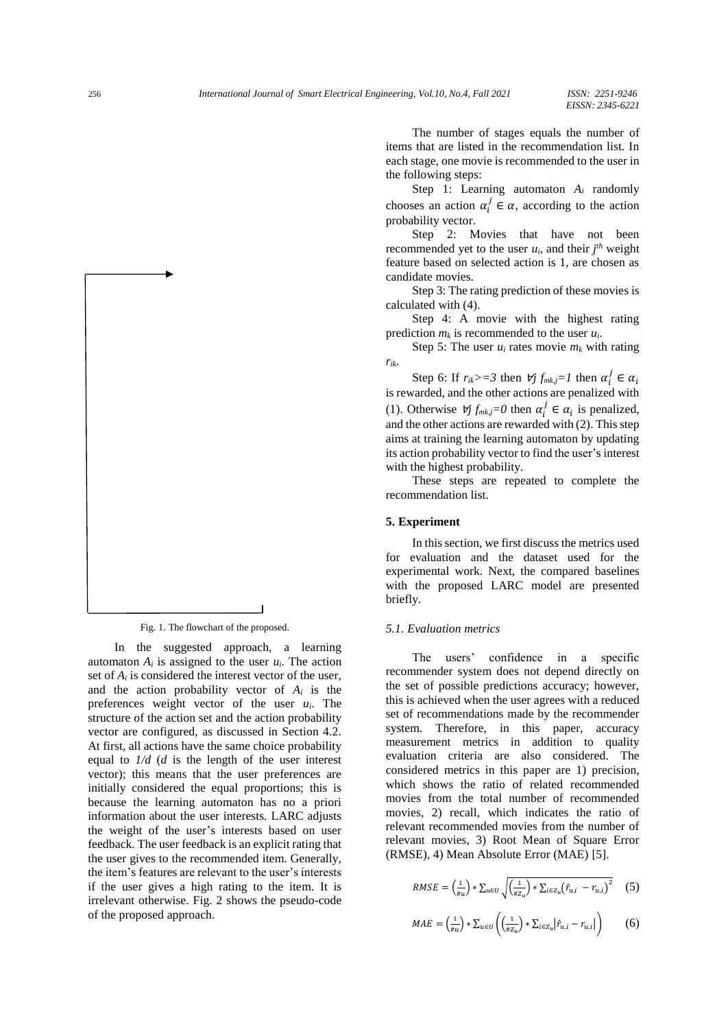The number of stages equals the number of items that are listed in the recommendation list. In each stage, one movie is recommended to the user in the following steps:

Step 1: Learning automaton *A<sup>i</sup>* randomly chooses an action  $\alpha_i^j \in \alpha$ , according to the action probability vector.

Step 2: Movies that have not been recommended yet to the user  $u_i$ , and their  $j<sup>th</sup>$  weight feature based on selected action is 1, are chosen as candidate movies.

Step 3: The rating prediction of these movies is calculated with (4).

Step 4: A movie with the highest rating prediction  $m_k$  is recommended to the user  $u_i$ .

Step 5: The user  $u_i$  rates movie  $m_k$  with rating *rik*.

Step 6: If  $r_{ik}$ >=3 then  $\nforall j$   $f_{mk,j}$ =1 then  $\alpha_i^j \in \alpha_i$ is rewarded, and the other actions are penalized with (1). Otherwise  $\forall j f_{mk,j} = 0$  then  $\alpha_i^j \in \alpha_i$  is penalized, and the other actions are rewarded with (2). This step aims at training the learning automaton by updating its action probability vector to find the user's interest with the highest probability.

These steps are repeated to complete the recommendation list.

# **5. Experiment**

In this section, we first discuss the metrics used for evaluation and the dataset used for the experimental work. Next, the compared baselines with the proposed LARC model are presented briefly.

# *5.1. Evaluation metrics*

The users' confidence in a specific recommender system does not depend directly on the set of possible predictions accuracy; however, this is achieved when the user agrees with a reduced set of recommendations made by the recommender system. Therefore, in this paper, accuracy measurement metrics in addition to quality evaluation criteria are also considered. The considered metrics in this paper are 1) precision, which shows the ratio of related recommended movies from the total number of recommended movies, 2) recall, which indicates the ratio of relevant recommended movies from the number of relevant movies, 3) Root Mean of Square Error (RMSE), 4) Mean Absolute Error (MAE) [5].

$$
RMSE = \left(\frac{1}{\#u}\right) * \sum_{u \in U} \sqrt{\left(\frac{1}{\#Z_u}\right) * \sum_{i \in Z_u} (f_{u,i} - r_{u,i})^2} \tag{5}
$$

$$
MAE = \left(\frac{1}{\#u}\right) * \sum_{u \in U} \left(\left(\frac{1}{\#Z_u}\right) * \sum_{i \in Z_u} \left|\hat{r}_{u,i} - r_{u,i}\right|\right) \tag{6}
$$

Fig. 1. The flowchart of the proposed.

In the suggested approach, a learning automaton  $A_i$  is assigned to the user  $u_i$ . The action set of  $A_i$  is considered the interest vector of the user, and the action probability vector of *A<sup>i</sup>* is the preferences weight vector of the user *ui*. The structure of the action set and the action probability vector are configured, as discussed in Section 4.2. At first, all actions have the same choice probability equal to *1/d* (*d* is the length of the user interest vector); this means that the user preferences are initially considered the equal proportions; this is because the learning automaton has no a priori information about the user interests. LARC adjusts the weight of the user's interests based on user feedback. The user feedback is an explicit rating that the user gives to the recommended item. Generally, the item's features are relevant to the user's interests if the user gives a high rating to the item. It is irrelevant otherwise. Fig. 2 shows the pseudo-code of the proposed approach.

 $\overline{\phantom{a}}$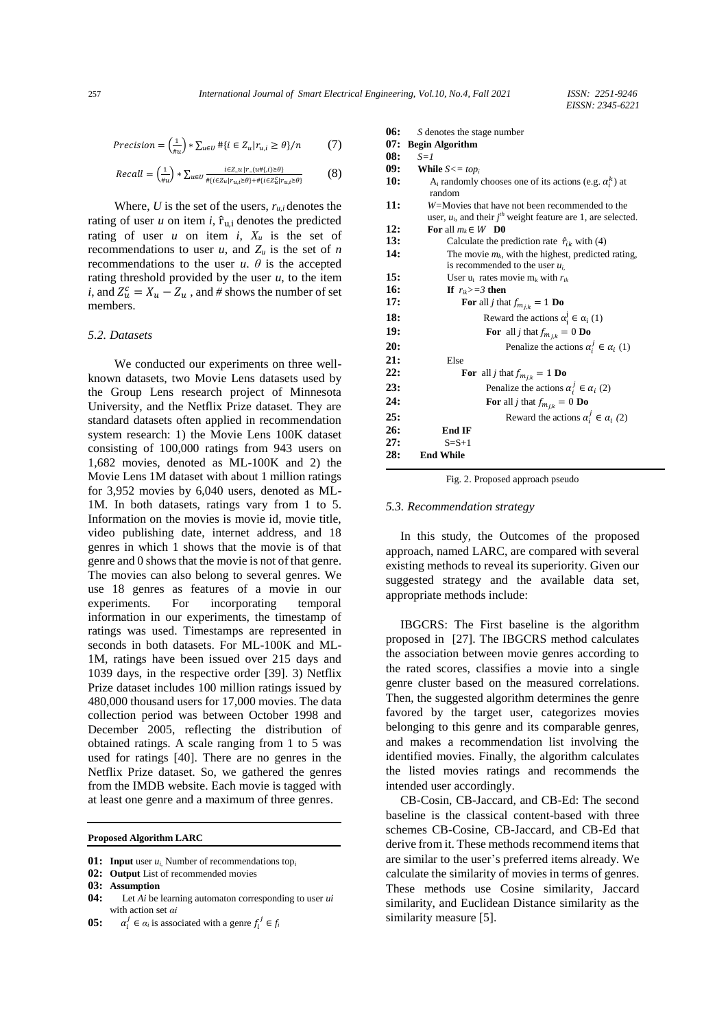$$
Precision = \left(\frac{1}{\#u}\right) * \sum_{u \in U} \# \{i \in Z_u | r_{u,i} \ge \theta\}/n \tag{7}
$$

$$
Recall = \left(\frac{1}{\#u}\right) * \sum_{u \in U} \frac{i\epsilon z_u \mid r_{-}(u \# \{i\}) \ge \theta\}}{\# \{i\epsilon z_u \mid r_{u,i} \ge \theta\} + \# \{i\epsilon z_u^c \mid r_{u,i} \ge \theta\}}\tag{8}
$$

Where,  $U$  is the set of the users,  $r_{u,i}$  denotes the rating of user  $u$  on item  $i$ ,  $\hat{r}_{ui}$  denotes the predicted rating of user *u* on item *i*,  $X_u$  is the set of recommendations to user  $u$ , and  $Z_u$  is the set of *n* recommendations to the user  $u$ .  $\theta$  is the accepted rating threshold provided by the user  $u$ , to the item *i*, and  $Z_u^c = X_u - Z_u$ , and # shows the number of set members.

#### *5.2. Datasets*

We conducted our experiments on three wellknown datasets, two Movie Lens datasets used by the Group Lens research project of Minnesota University, and the Netflix Prize dataset. They are standard datasets often applied in recommendation system research: 1) the Movie Lens 100K dataset consisting of 100,000 ratings from 943 users on 1,682 movies, denoted as ML-100K and 2) the Movie Lens 1M dataset with about 1 million ratings for 3,952 movies by 6,040 users, denoted as ML-1M. In both datasets, ratings vary from 1 to 5. Information on the movies is movie id, movie title, video publishing date, internet address, and 18 genres in which 1 shows that the movie is of that genre and 0 shows that the movie is not of that genre. The movies can also belong to several genres. We use 18 genres as features of a movie in our experiments. For incorporating temporal information in our experiments, the timestamp of ratings was used. Timestamps are represented in seconds in both datasets. For ML-100K and ML-1M, ratings have been issued over 215 days and 1039 days, in the respective order [39]. 3) Netflix Prize dataset includes 100 million ratings issued by 480,000 thousand users for 17,000 movies. The data collection period was between October 1998 and December 2005, reflecting the distribution of obtained ratings. A scale ranging from 1 to 5 was used for ratings [40]. There are no genres in the Netflix Prize dataset. So, we gathered the genres from the IMDB website. Each movie is tagged with at least one genre and a maximum of three genres.

**Proposed Algorithm LARC**

- **01: Input** user *ui*, Number of recommendations top<sup>i</sup>
- **02: Output** List of recommended movies
- **03: Assumption**
- **04:** Let *Ai* be learning automaton corresponding to user *ui*  with action set *αi*
- **05:**  $j \in \alpha_i$  is associated with a genre  $f_i^j \in f_i$

**06:** *S* denotes the stage number **07: Begin Algorithm 08:** *S=1* **09: While** *S<= top<sup>i</sup>* **10:** A<sub>i</sub> randomly chooses one of its actions (e.g.  $\alpha_i^k$ ) at random **11:** *W=*Movies that have not been recommended to the user,  $u_i$ , and their  $j<sup>th</sup>$  weight feature are 1, are selected. **12: For** all  $m_k \in W$  **D0**<br>**13: Calculate the position 13:** Calculate the prediction rate  $\hat{r}_{ik}$  with (4)<br>**14:** The movie  $m_k$ , with the highest, predicted The movie  $m_k$ , with the highest, predicted rating, is recommended to the user *ui*, **15:** User  $u_i$  rates movie  $m_k$  with  $r_{ik}$ **16: If**  $r_{ik} > = 3$  **then**<br>**17: For** all *j* tha **For** all *j* that  $f_{m_{j,k}} = 1$  **Do 18:** Reward the actions  $\alpha_i^j \in \alpha_i$  (1) **19: For** all *j* that  $f_{m_{jk}} = 0$  **Do 20:** Penalize the actions  $\alpha_i^j \in \alpha_i$  (1) **21:** Else **22: For** all *j* that  $f_{m_{j,k}} = 1$  **Do 23:** Penalize the actions  $\alpha_i^j \in \alpha_i$  (2) **24: For** all *j* that  $f_{m_{jk}} = 0$  **Do 25:** Reward the actions  $\alpha_i^j \in \alpha_i$  (2) **26: End IF 27:** S=S+1 **28: End While**

Fig. 2. Proposed approach pseudo

#### *5.3. Recommendation strategy*

In this study, the Outcomes of the proposed approach, named LARC, are compared with several existing methods to reveal its superiority. Given our suggested strategy and the available data set, appropriate methods include:

IBGCRS: The First baseline is the algorithm proposed in [27]. The IBGCRS method calculates the association between movie genres according to the rated scores, classifies a movie into a single genre cluster based on the measured correlations. Then, the suggested algorithm determines the genre favored by the target user, categorizes movies belonging to this genre and its comparable genres, and makes a recommendation list involving the identified movies. Finally, the algorithm calculates the listed movies ratings and recommends the intended user accordingly.

CB-Cosin, CB-Jaccard, and CB-Ed: The second baseline is the classical content-based with three schemes CB-Cosine, CB-Jaccard, and CB-Ed that derive from it. These methods recommend items that are similar to the user's preferred items already. We calculate the similarity of movies in terms of genres. These methods use Cosine similarity, Jaccard similarity, and Euclidean Distance similarity as the similarity measure [5].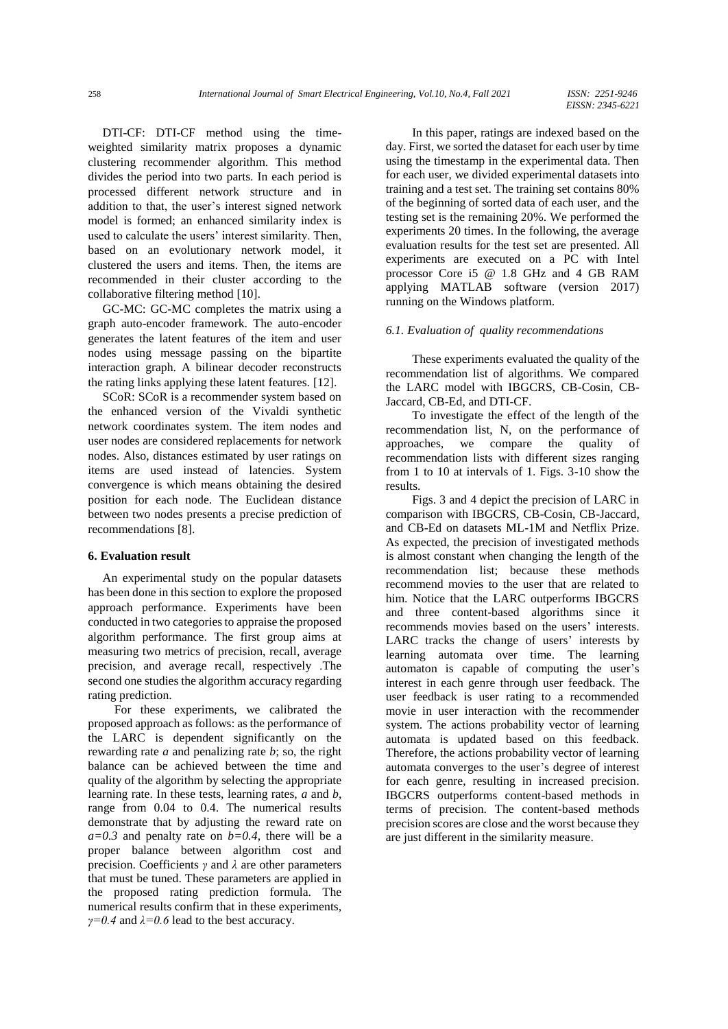DTI-CF: DTI-CF method using the timeweighted similarity matrix proposes a dynamic clustering recommender algorithm. This method divides the period into two parts. In each period is processed different network structure and in addition to that, the user's interest signed network model is formed; an enhanced similarity index is used to calculate the users' interest similarity. Then, based on an evolutionary network model, it clustered the users and items. Then, the items are recommended in their cluster according to the collaborative filtering method [10].

GC-MC: GC-MC completes the matrix using a graph auto-encoder framework. The auto-encoder generates the latent features of the item and user nodes using message passing on the bipartite interaction graph. A bilinear decoder reconstructs the rating links applying these latent features. [12].

SCoR: SCoR is a recommender system based on the enhanced version of the Vivaldi synthetic network coordinates system. The item nodes and user nodes are considered replacements for network nodes. Also, distances estimated by user ratings on items are used instead of latencies. System convergence is which means obtaining the desired position for each node. The Euclidean distance between two nodes presents a precise prediction of recommendations [8].

# **6. Evaluation result**

An experimental study on the popular datasets has been done in this section to explore the proposed approach performance. Experiments have been conducted in two categories to appraise the proposed algorithm performance. The first group aims at measuring two metrics of precision, recall, average precision, and average recall, respectively .The second one studies the algorithm accuracy regarding rating prediction.

For these experiments, we calibrated the proposed approach as follows: as the performance of the LARC is dependent significantly on the rewarding rate *a* and penalizing rate *b*; so, the right balance can be achieved between the time and quality of the algorithm by selecting the appropriate learning rate. In these tests, learning rates, *a* and *b*, range from 0.04 to 0.4. The numerical results demonstrate that by adjusting the reward rate on  $a=0.3$  and penalty rate on  $b=0.4$ , there will be a proper balance between algorithm cost and precision. Coefficients *γ* and *λ* are other parameters that must be tuned. These parameters are applied in the proposed rating prediction formula. The numerical results confirm that in these experiments, *γ=0.4* and *λ=0.6* lead to the best accuracy.

In this paper, ratings are indexed based on the day. First, we sorted the dataset for each user by time using the timestamp in the experimental data. Then for each user, we divided experimental datasets into training and a test set. The training set contains 80% of the beginning of sorted data of each user, and the testing set is the remaining 20%. We performed the experiments 20 times. In the following, the average evaluation results for the test set are presented. All experiments are executed on a PC with Intel processor Core i5 @ 1.8 GHz and 4 GB RAM applying MATLAB software (version 2017) running on the Windows platform.

# *6.1. Evaluation of quality recommendations*

These experiments evaluated the quality of the recommendation list of algorithms. We compared the LARC model with IBGCRS, CB-Cosin, CB-Jaccard, CB-Ed, and DTI-CF.

To investigate the effect of the length of the recommendation list, N, on the performance of approaches, we compare the quality of approaches, we compare the quality of recommendation lists with different sizes ranging from 1 to 10 at intervals of 1. Figs. 3-10 show the results.

Figs. 3 and 4 depict the precision of LARC in comparison with IBGCRS, CB-Cosin, CB-Jaccard, and CB-Ed on datasets ML-1M and Netflix Prize. As expected, the precision of investigated methods is almost constant when changing the length of the recommendation list; because these methods recommend movies to the user that are related to him. Notice that the LARC outperforms IBGCRS and three content-based algorithms since it recommends movies based on the users' interests. LARC tracks the change of users' interests by learning automata over time. The learning automaton is capable of computing the user's interest in each genre through user feedback. The user feedback is user rating to a recommended movie in user interaction with the recommender system. The actions probability vector of learning automata is updated based on this feedback. Therefore, the actions probability vector of learning automata converges to the user's degree of interest for each genre, resulting in increased precision. IBGCRS outperforms content-based methods in terms of precision. The content-based methods precision scores are close and the worst because they are just different in the similarity measure.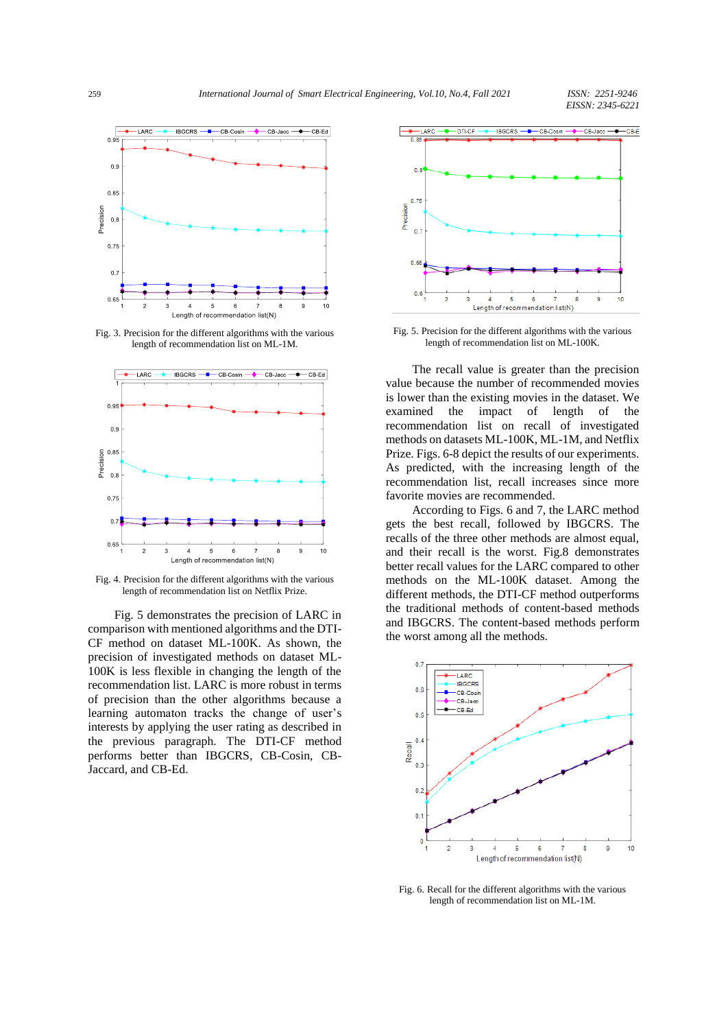

Fig. 3. Precision for the different algorithms with the various length of recommendation list on ML-1M.



Fig. 4. Precision for the different algorithms with the various length of recommendation list on Netflix Prize.

Fig. 5 demonstrates the precision of LARC in comparison with mentioned algorithms and the DTI-CF method on dataset ML-100K. As shown, the precision of investigated methods on dataset ML-100K is less flexible in changing the length of the recommendation list. LARC is more robust in terms of precision than the other algorithms because a learning automaton tracks the change of user's interests by applying the user rating as described in the previous paragraph. The DTI-CF method performs better than IBGCRS, CB-Cosin, CB-Jaccard, and CB-Ed.



Fig. 5. Precision for the different algorithms with the various length of recommendation list on ML-100K.

The recall value is greater than the precision value because the number of recommended movies is lower than the existing movies in the dataset. We examined the impact of length of the recommendation list on recall of investigated methods on datasets ML-100K, ML-1M, and Netflix Prize. Figs. 6-8 depict the results of our experiments. As predicted, with the increasing length of the recommendation list, recall increases since more favorite movies are recommended.

According to Figs. 6 and 7, the LARC method gets the best recall, followed by IBGCRS. The recalls of the three other methods are almost equal, and their recall is the worst. Fig.8 demonstrates better recall values for the LARC compared to other methods on the ML-100K dataset. Among the different methods, the DTI-CF method outperforms the traditional methods of content-based methods and IBGCRS. The content-based methods perform the worst among all the methods.



Fig. 6. Recall for the different algorithms with the various length of recommendation list on ML-1M.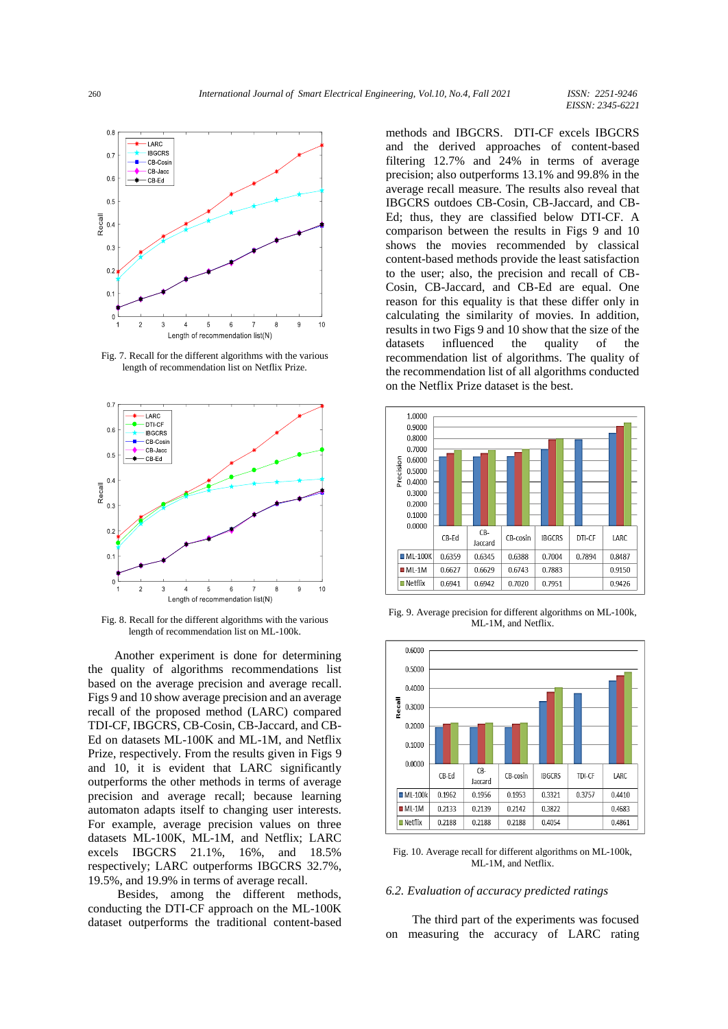

Fig. 7. Recall for the different algorithms with the various length of recommendation list on Netflix Prize.



Fig. 8. Recall for the different algorithms with the various length of recommendation list on ML-100k.

Another experiment is done for determining the quality of algorithms recommendations list based on the average precision and average recall. Figs 9 and 10 show average precision and an average recall of the proposed method (LARC) compared TDI-CF, IBGCRS, CB-Cosin, CB-Jaccard, and CB-Ed on datasets ML-100K and ML-1M, and Netflix Prize, respectively. From the results given in Figs 9 and 10, it is evident that LARC significantly outperforms the other methods in terms of average precision and average recall; because learning automaton adapts itself to changing user interests. For example, average precision values on three datasets ML-100K, ML-1M, and Netflix; LARC excels IBGCRS 21.1%, 16%, and 18.5% respectively; LARC outperforms IBGCRS 32.7%, 19.5%, and 19.9% in terms of average recall.

Besides, among the different methods, conducting the DTI-CF approach on the ML-100K dataset outperforms the traditional content-based methods and IBGCRS. DTI-CF excels IBGCRS and the derived approaches of content-based filtering 12.7% and 24% in terms of average precision; also outperforms 13.1% and 99.8% in the average recall measure. The results also reveal that IBGCRS outdoes CB-Cosin, CB-Jaccard, and CB-Ed; thus, they are classified below DTI-CF. A comparison between the results in Figs 9 and 10 shows the movies recommended by classical content-based methods provide the least satisfaction to the user; also, the precision and recall of CB-Cosin, CB-Jaccard, and CB-Ed are equal. One reason for this equality is that these differ only in calculating the similarity of movies. In addition, results in two Figs 9 and 10 show that the size of the datasets influenced the quality of the recommendation list of algorithms. The quality of the recommendation list of all algorithms conducted on the Netflix Prize dataset is the best.



Fig. 9. Average precision for different algorithms on ML-100k, ML-1M, and Netflix.



Fig. 10. Average recall for different algorithms on ML-100k, ML-1M, and Netflix.

# *6.2. Evaluation of accuracy predicted ratings*

The third part of the experiments was focused on measuring the accuracy of LARC rating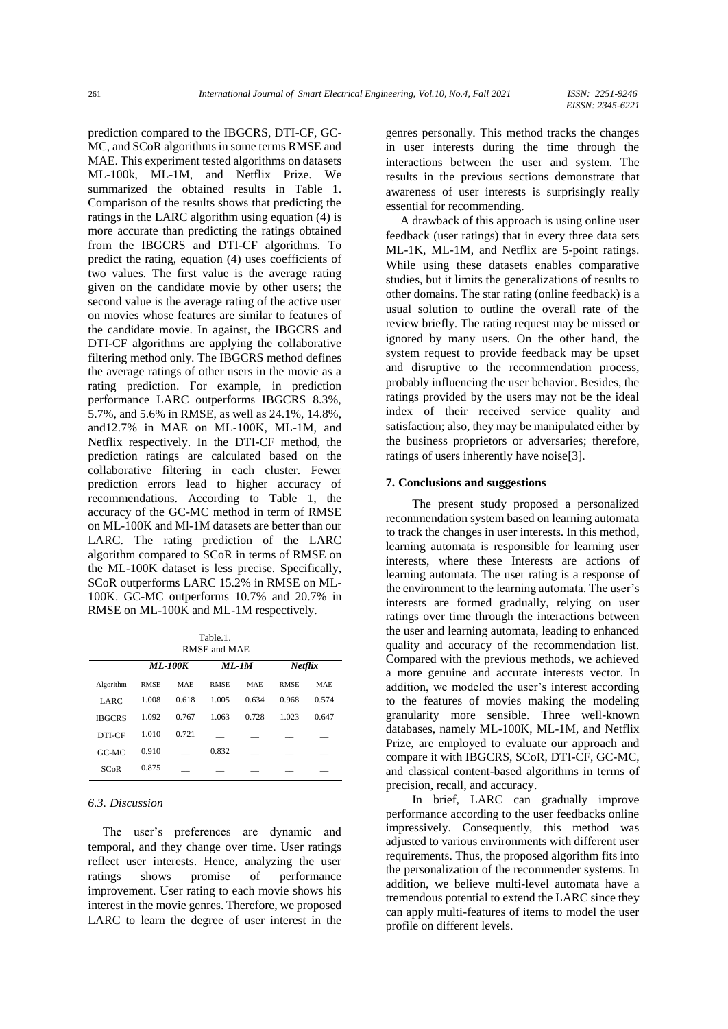prediction compared to the IBGCRS, DTI-CF, GC-MC, and SCoR algorithms in some terms RMSE and MAE. This experiment tested algorithms on datasets ML-100k, ML-1M, and Netflix Prize. We summarized the obtained results in Table 1. Comparison of the results shows that predicting the ratings in the LARC algorithm using equation (4) is more accurate than predicting the ratings obtained from the IBGCRS and DTI-CF algorithms. To predict the rating, equation (4) uses coefficients of two values. The first value is the average rating given on the candidate movie by other users; the second value is the average rating of the active user on movies whose features are similar to features of the candidate movie. In against, the IBGCRS and DTI-CF algorithms are applying the collaborative filtering method only. The IBGCRS method defines the average ratings of other users in the movie as a rating prediction. For example, in prediction performance LARC outperforms IBGCRS 8.3%, 5.7%, and 5.6% in RMSE, as well as 24.1%, 14.8%, and12.7% in MAE on ML-100K, ML-1M, and Netflix respectively. In the DTI-CF method, the prediction ratings are calculated based on the collaborative filtering in each cluster. Fewer prediction errors lead to higher accuracy of recommendations. According to Table 1, the accuracy of the GC-MC method in term of RMSE on ML-100K and Ml-1M datasets are better than our LARC. The rating prediction of the LARC algorithm compared to SCoR in terms of RMSE on the ML-100K dataset is less precise. Specifically, SCoR outperforms LARC 15.2% in RMSE on ML-100K. GC-MC outperforms 10.7% and 20.7% in RMSE on ML-100K and ML-1M respectively.

Table.1. RMSE and MAE

| 1979 - 1979 - 1979 - 1979 - 1979 - 1979 - 1979 - 1979 - 1979 - 1979 - 1979 - 197 |                |            |             |            |                |            |
|----------------------------------------------------------------------------------|----------------|------------|-------------|------------|----------------|------------|
|                                                                                  | <i>ML-100K</i> |            | ML-1M       |            | <b>Netflix</b> |            |
| Algorithm                                                                        | <b>RMSE</b>    | <b>MAE</b> | <b>RMSE</b> | <b>MAE</b> | <b>RMSE</b>    | <b>MAE</b> |
| LARC                                                                             | 1.008          | 0.618      | 1.005       | 0.634      | 0.968          | 0.574      |
| <b>IBGCRS</b>                                                                    | 1.092          | 0.767      | 1.063       | 0.728      | 1.023          | 0.647      |
| DTI-CF                                                                           | 1.010          | 0.721      |             |            |                |            |
| $G$ C-MC                                                                         | 0.910          |            | 0.832       |            |                |            |
| SCoR                                                                             | 0.875          |            |             |            |                |            |

# *6.3. Discussion*

The user's preferences are dynamic and temporal, and they change over time. User ratings reflect user interests. Hence, analyzing the user ratings shows promise of performance improvement. User rating to each movie shows his interest in the movie genres. Therefore, we proposed LARC to learn the degree of user interest in the genres personally. This method tracks the changes in user interests during the time through the interactions between the user and system. The results in the previous sections demonstrate that awareness of user interests is surprisingly really essential for recommending.

A drawback of this approach is using online user feedback (user ratings) that in every three data sets ML-1K, ML-1M, and Netflix are 5-point ratings. While using these datasets enables comparative studies, but it limits the generalizations of results to other domains. The star rating (online feedback) is a usual solution to outline the overall rate of the review briefly. The rating request may be missed or ignored by many users. On the other hand, the system request to provide feedback may be upset and disruptive to the recommendation process, probably influencing the user behavior. Besides, the ratings provided by the users may not be the ideal index of their received service quality and satisfaction; also, they may be manipulated either by the business proprietors or adversaries; therefore, ratings of users inherently have noise[3].

## **7. Conclusions and suggestions**

The present study proposed a personalized recommendation system based on learning automata to track the changes in user interests. In this method, learning automata is responsible for learning user interests, where these Interests are actions of learning automata. The user rating is a response of the environment to the learning automata. The user's interests are formed gradually, relying on user ratings over time through the interactions between the user and learning automata, leading to enhanced quality and accuracy of the recommendation list. Compared with the previous methods, we achieved a more genuine and accurate interests vector. In addition, we modeled the user's interest according to the features of movies making the modeling granularity more sensible. Three well-known databases, namely ML-100K, ML-1M, and Netflix Prize, are employed to evaluate our approach and compare it with IBGCRS, SCoR, DTI-CF, GC-MC, and classical content-based algorithms in terms of precision, recall, and accuracy.

In brief, LARC can gradually improve performance according to the user feedbacks online impressively. Consequently, this method was adjusted to various environments with different user requirements. Thus, the proposed algorithm fits into the personalization of the recommender systems. In addition, we believe multi-level automata have a tremendous potential to extend the LARC since they can apply multi-features of items to model the user profile on different levels.